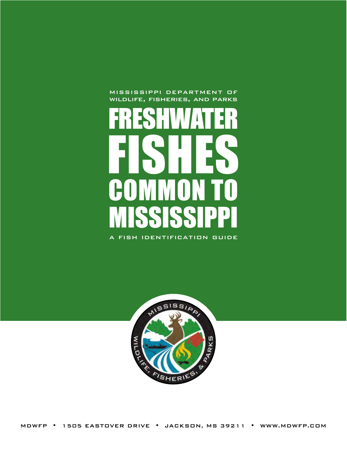mississippi department of wildlife, fisheries, and parks





MDWFP • 1505 EASTOVER DRIVE • JACKSON, MS 39211 • WWW.MDWFP.COM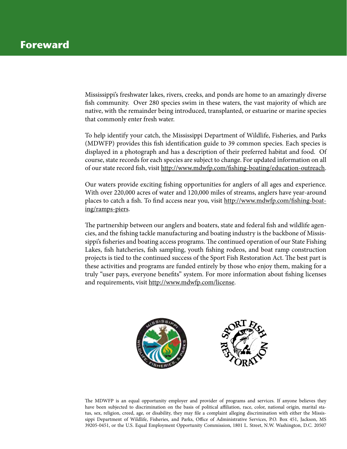Mississippi's freshwater lakes, rivers, creeks, and ponds are home to an amazingly diverse fish community. Over 280 species swim in these waters, the vast majority of which are native, with the remainder being introduced, transplanted, or estuarine or marine species that commonly enter fresh water.

To help identify your catch, the Mississippi Department of Wildlife, Fisheries, and Parks (MDWFP) provides this fish identification guide to 39 common species. Each species is displayed in a photograph and has a description of their preferred habitat and food. Of course, state records for each species are subject to change. For updated information on all of our state record fish, visit<http://www.mdwfp.com/fishing-boating/education-outreach>.

Our waters provide exciting fishing opportunities for anglers of all ages and experience. With over 220,000 acres of water and 120,000 miles of streams, anglers have year-around places to catch a fish. To find access near you, visit [http://www.mdwfp.com/fishing-boat](http://www.mdwfp.com/fishing-boating/ramps-piers)[ing/ramps-piers.](http://www.mdwfp.com/fishing-boating/ramps-piers)

The partnership between our anglers and boaters, state and federal fish and wildlife agencies, and the fishing tackle manufacturing and boating industry is the backbone of Mississippi's fisheries and boating access programs. The continued operation of our State Fishing Lakes, fish hatcheries, fish sampling, youth fishing rodeos, and boat ramp construction projects is tied to the continued success of the Sport Fish Restoration Act. The best part is these activities and programs are funded entirely by those who enjoy them, making for a truly "user pays, everyone benefits" system. For more information about fishing licenses and requirements, visit <http://www.mdwfp.com/license>.



The MDWFP is an equal opportunity employer and provider of programs and services. If anyone believes they have been subjected to discrimination on the basis of political affiliation, race, color, national origin, marital status, sex, religion, creed, age, or disability, they may file a complaint alleging discrimination with either the Mississippi Department of Wildlife, Fisheries, and Parks, Office of Administrative Services, P.O. Box 451, Jackson, MS 39205-0451, or the U.S. Equal Employment Opportunity Commission, 1801 L. Street, N.W. Washington, D.C. 20507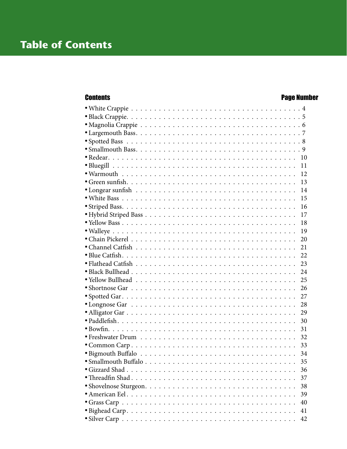### **Contents Contents**

| 10 |  |
|----|--|
| 11 |  |
| 12 |  |
| 13 |  |
| 14 |  |
| 15 |  |
| 16 |  |
| 17 |  |
| 18 |  |
| 19 |  |
| 20 |  |
| 21 |  |
| 22 |  |
| 23 |  |
| 24 |  |
| 25 |  |
| 26 |  |
| 27 |  |
| 28 |  |
| 29 |  |
| 30 |  |
| 31 |  |
| 32 |  |
| 33 |  |
| 34 |  |
| 35 |  |
| 36 |  |
| 37 |  |
| 38 |  |
| 39 |  |
| 40 |  |
| 41 |  |
| 42 |  |
|    |  |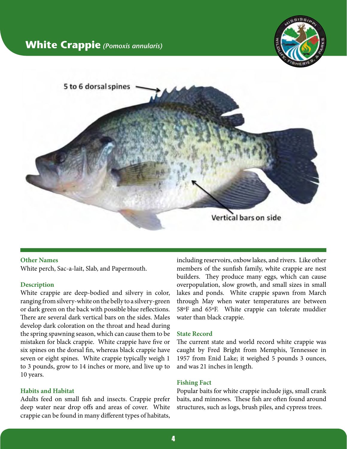### <span id="page-3-0"></span>**White Crappie** *(Pomoxis annularis)*





#### **Other Names**

White perch, Sac-a-lait, Slab, and Papermouth.

#### **Description**

White crappie are deep-bodied and silvery in color, ranging from silvery-white on the belly to a silvery-green or dark green on the back with possible blue reflections. There are several dark vertical bars on the sides. Males develop dark coloration on the throat and head during the spring spawning season, which can cause them to be mistaken for black crappie. White crappie have five or six spines on the dorsal fin, whereas black crappie have seven or eight spines. White crappie typically weigh 1 to 3 pounds, grow to 14 inches or more, and live up to 10 years.

#### **Habits and Habitat**

Adults feed on small fish and insects. Crappie prefer deep water near drop offs and areas of cover. White crappie can be found in many different types of habitats,

including reservoirs, oxbow lakes, and rivers. Like other members of the sunfish family, white crappie are nest builders. They produce many eggs, which can cause overpopulation, slow growth, and small sizes in small lakes and ponds. White crappie spawn from March through May when water temperatures are between 58ºF and 65ºF. White crappie can tolerate muddier water than black crappie.

#### **State Record**

The current state and world record white crappie was caught by Fred Bright from Memphis, Tennessee in 1957 from Enid Lake; it weighed 5 pounds 3 ounces, and was 21 inches in length.

#### **Fishing Fact**

Popular baits for white crappie include jigs, small crank baits, and minnows. These fish are often found around structures, such as logs, brush piles, and cypress trees.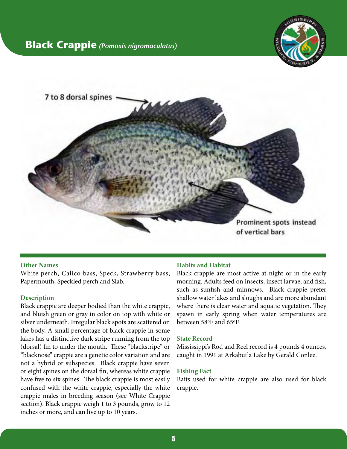

<span id="page-4-0"></span>

#### **Other Names**

White perch, Calico bass, Speck, Strawberry bass, Papermouth, Speckled perch and Slab.

#### **Description**

Black crappie are deeper bodied than the white crappie, and bluish green or gray in color on top with white or silver underneath. Irregular black spots are scattered on the body. A small percentage of black crappie in some lakes has a distinctive dark stripe running from the top (dorsal) fin to under the mouth. These "blackstripe" or "blacknose" crappie are a genetic color variation and are not a hybrid or subspecies. Black crappie have seven or eight spines on the dorsal fin, whereas white crappie have five to six spines. The black crappie is most easily confused with the white crappie, especially the white crappie males in breeding season (see White Crappie section). Black crappie weigh 1 to 3 pounds, grow to 12 inches or more, and can live up to 10 years.

#### **Habits and Habitat**

Black crappie are most active at night or in the early morning. Adults feed on insects, insect larvae, and fish, such as sunfish and minnows. Black crappie prefer shallow water lakes and sloughs and are more abundant where there is clear water and aquatic vegetation. They spawn in early spring when water temperatures are between 58ºF and 65ºF.

#### **State Record**

Mississippi's Rod and Reel record is 4 pounds 4 ounces, caught in 1991 at Arkabutla Lake by Gerald Conlee.

#### **Fishing Fact**

Baits used for white crappie are also used for black crappie.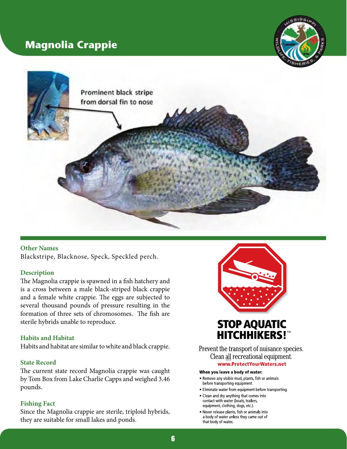## <span id="page-5-0"></span>**Magnolia Crappie**





#### **Other Names**

Blackstripe, Blacknose, Speck, Speckled perch.

#### **Description**

The Magnolia crappie is spawned in a fish hatchery and is a cross between a male black-striped black crappie and a female white crappie. The eggs are subjected to several thousand pounds of pressure resulting in the formation of three sets of chromosomes. The fish are sterile hybrids unable to reproduce.

#### **Habits and Habitat**

Habits and habitat are similar to white and black crappie.

#### **State Record**

The current state record Magnolia crappie was caught by Tom Box from Lake Charlie Capps and weighed 3.46 pounds.

#### **Fishing Fact**

Since the Magnolia crappie are sterile, triploid hybrids, they are suitable for small lakes and ponds.



# **HITCHHIKERS!**

Prevent the transport of nuisance species. Clean all recreational equipment. www.ProtectYourWaters.net

#### When you leave a body of water:

- . Remove any visible mud, plants, fish or animals before transporting equipment.
- Eliminate water from equipment before transporting.
- Clean and dry anything that comes into contact with water (boats, trailers, equipment, clothing, dogs, etc.)
- . Never release plants, fish or animals into a body of water unless they came out of that body of water.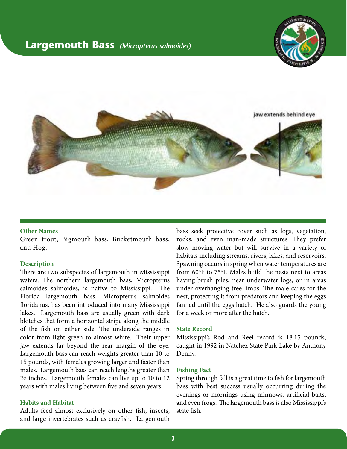### <span id="page-6-0"></span>**Largemouth Bass** *(Micropterus salmoides)*





#### **Other Names**

Green trout, Bigmouth bass, Bucketmouth bass, and Hog.

#### **Description**

There are two subspecies of largemouth in Mississippi waters. The northern largemouth bass, Micropterus salmoides salmoides, is native to Mississippi. The Florida largemouth bass, Micropterus salmoides floridanus, has been introduced into many Mississippi lakes. Largemouth bass are usually green with dark blotches that form a horizontal stripe along the middle of the fish on either side. The underside ranges in color from light green to almost white. Their upper jaw extends far beyond the rear margin of the eye. Largemouth bass can reach weights greater than 10 to 15 pounds, with females growing larger and faster than males. Largemouth bass can reach lengths greater than 26 inches. Largemouth females can live up to 10 to 12 years with males living between five and seven years.

#### **Habits and Habitat**

Adults feed almost exclusively on other fish, insects, and large invertebrates such as crayfish. Largemouth bass seek protective cover such as logs, vegetation, rocks, and even man-made structures. They prefer slow moving water but will survive in a variety of habitats including streams, rivers, lakes, and reservoirs. Spawning occurs in spring when water temperatures are from 60ºF to 75ºF. Males build the nests next to areas having brush piles, near underwater logs, or in areas under overhanging tree limbs. The male cares for the nest, protecting it from predators and keeping the eggs fanned until the eggs hatch. He also guards the young for a week or more after the hatch.

#### **State Record**

Mississippi's Rod and Reel record is 18.15 pounds, caught in 1992 in Natchez State Park Lake by Anthony Denny.

#### **Fishing Fact**

Spring through fall is a great time to fish for largemouth bass with best success usually occurring during the evenings or mornings using minnows, artificial baits, and even frogs. The largemouth bass is also Mississippi's state fish.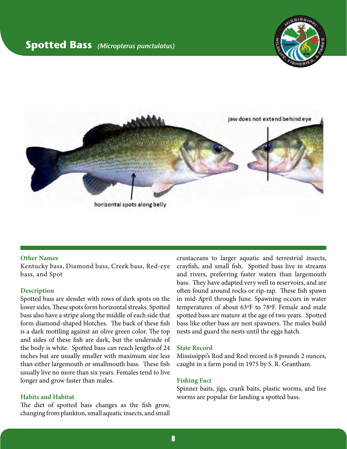### <span id="page-7-0"></span>**Spotted Bass** *(Micropterus punctulatus)*





#### **Other Names**

Kentucky bass, Diamond bass, Creek bass, Red-eye bass, and Spot

#### **Description**

Spotted bass are slender with rows of dark spots on the lower sides. These spots form horizontal streaks. Spotted bass also have a stripe along the middle of each side that form diamond-shaped blotches. The back of these fish is a dark mottling against an olive green color. The top and sides of these fish are dark, but the underside of the body is white. Spotted bass can reach lengths of 24 inches but are usually smaller with maximum size less than either largemouth or smallmouth bass. These fish usually live no more than six years. Females tend to live longer and grow faster than males.

#### **Habits and Habitat**

The diet of spotted bass changes as the fish grow, changing from plankton, small aquatic insects, and small

crustaceans to larger aquatic and terrestrial insects, crayfish, and small fish. Spotted bass live in streams and rivers, preferring faster waters than largemouth bass. They have adapted very well to reservoirs, and are often found around rocks or rip-rap. These fish spawn in mid-April through June. Spawning occurs in water temperatures of about 63ºF to 78ºF. Female and male spotted bass are mature at the age of two years. Spotted bass like other bass are nest spawners. The males build nests and guard the nests until the eggs hatch.

#### **State Record**

Mississippi's Rod and Reel record is 8 pounds 2 ounces, caught in a farm pond in 1975 by S. R. Grantham.

#### **Fishing Fact**

Spinner baits, jigs, crank baits, plastic worms, and live worms are popular for landing a spotted bass.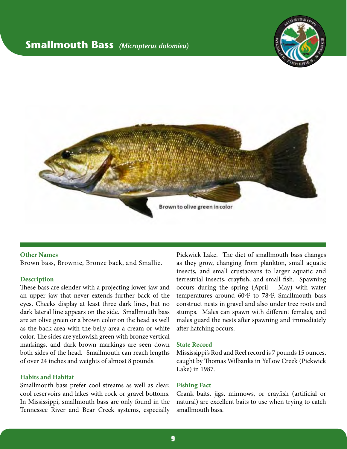### <span id="page-8-0"></span>**Smallmouth Bass** *(Micropterus dolomieu)*





#### **Other Names**

Brown bass, Brownie, Bronze back, and Smallie.

#### **Description**

These bass are slender with a projecting lower jaw and an upper jaw that never extends further back of the eyes. Cheeks display at least three dark lines, but no dark lateral line appears on the side. Smallmouth bass are an olive green or a brown color on the head as well as the back area with the belly area a cream or white color. The sides are yellowish green with bronze vertical markings, and dark brown markings are seen down both sides of the head. Smallmouth can reach lengths of over 24 inches and weights of almost 8 pounds.

#### **Habits and Habitat**

Smallmouth bass prefer cool streams as well as clear, cool reservoirs and lakes with rock or gravel bottoms. In Mississippi, smallmouth bass are only found in the Tennessee River and Bear Creek systems, especially

Pickwick Lake. The diet of smallmouth bass changes as they grow, changing from plankton, small aquatic insects, and small crustaceans to larger aquatic and terrestrial insects, crayfish, and small fish. Spawning occurs during the spring (April – May) with water temperatures around 60ºF to 78ºF. Smallmouth bass construct nests in gravel and also under tree roots and stumps. Males can spawn with different females, and males guard the nests after spawning and immediately after hatching occurs.

#### **State Record**

Mississippi's Rod and Reel record is 7 pounds 15 ounces, caught by Thomas Wilbanks in Yellow Creek (Pickwick Lake) in 1987.

#### **Fishing Fact**

Crank baits, jigs, minnows, or crayfish (artificial or natural) are excellent baits to use when trying to catch smallmouth bass.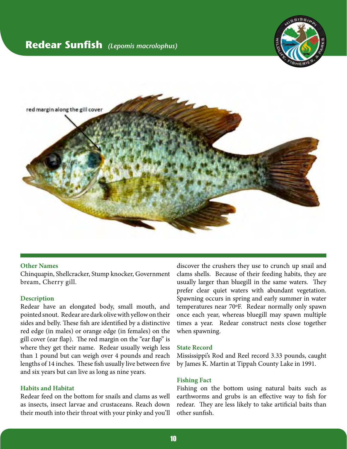### <span id="page-9-0"></span>**Redear Sunfish** *(Lepomis macrolophus)*





#### **Other Names**

Chinquapin, Shellcracker, Stump knocker, Government bream, Cherry gill.

#### **Description**

Redear have an elongated body, small mouth, and pointed snout. Redear are dark olive with yellow on their sides and belly. These fish are identified by a distinctive red edge (in males) or orange edge (in females) on the gill cover (ear flap). The red margin on the "ear flap" is where they get their name. Redear usually weigh less than 1 pound but can weigh over 4 pounds and reach lengths of 14 inches. These fish usually live between five and six years but can live as long as nine years.

#### **Habits and Habitat**

Redear feed on the bottom for snails and clams as well as insects, insect larvae and crustaceans. Reach down their mouth into their throat with your pinky and you'll

discover the crushers they use to crunch up snail and clams shells. Because of their feeding habits, they are usually larger than bluegill in the same waters. They prefer clear quiet waters with abundant vegetation. Spawning occurs in spring and early summer in water temperatures near 70ºF. Redear normally only spawn once each year, whereas bluegill may spawn multiple times a year. Redear construct nests close together when spawning.

#### **State Record**

Mississippi's Rod and Reel record 3.33 pounds, caught by James K. Martin at Tippah County Lake in 1991.

#### **Fishing Fact**

Fishing on the bottom using natural baits such as earthworms and grubs is an effective way to fish for redear. They are less likely to take artificial baits than other sunfish.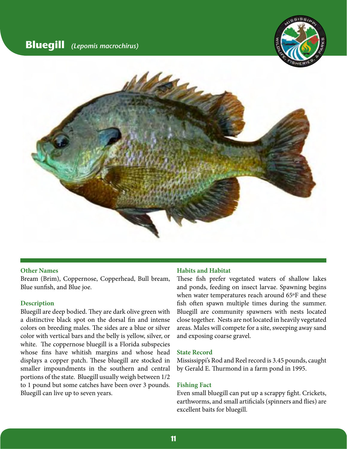

<span id="page-10-0"></span>

#### **Other Names**

Bream (Brim), Coppernose, Copperhead, Bull bream, Blue sunfish, and Blue joe.

#### **Description**

Bluegill are deep bodied. They are dark olive green with a distinctive black spot on the dorsal fin and intense colors on breeding males. The sides are a blue or silver color with vertical bars and the belly is yellow, silver, or white. The coppernose bluegill is a Florida subspecies whose fins have whitish margins and whose head displays a copper patch. These bluegill are stocked in smaller impoundments in the southern and central portions of the state. Bluegill usually weigh between 1/2 to 1 pound but some catches have been over 3 pounds. Bluegill can live up to seven years.

#### **Habits and Habitat**

These fish prefer vegetated waters of shallow lakes and ponds, feeding on insect larvae. Spawning begins when water temperatures reach around 65ºF and these fish often spawn multiple times during the summer. Bluegill are community spawners with nests located close together. Nests are not located in heavily vegetated areas. Males will compete for a site, sweeping away sand and exposing coarse gravel.

#### **State Record**

Mississippi's Rod and Reel record is 3.45 pounds, caught by Gerald E. Thurmond in a farm pond in 1995.

#### **Fishing Fact**

Even small bluegill can put up a scrappy fight. Crickets, earthworms, and small artificials (spinners and flies) are excellent baits for bluegill.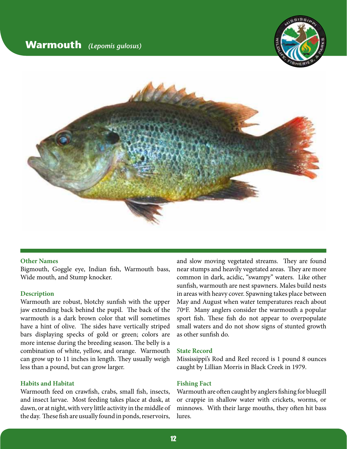### <span id="page-11-0"></span>**Warmouth** *(Lepomis gulosus)*





#### **Other Names**

Bigmouth, Goggle eye, Indian fish, Warmouth bass, Wide mouth, and Stump knocker.

#### **Description**

Warmouth are robust, blotchy sunfish with the upper jaw extending back behind the pupil. The back of the warmouth is a dark brown color that will sometimes have a hint of olive. The sides have vertically striped bars displaying specks of gold or green; colors are more intense during the breeding season. The belly is a combination of white, yellow, and orange. Warmouth can grow up to 11 inches in length. They usually weigh less than a pound, but can grow larger.

#### **Habits and Habitat**

Warmouth feed on crawfish, crabs, small fish, insects, and insect larvae. Most feeding takes place at dusk, at dawn, or at night, with very little activity in the middle of the day. These fish are usually found in ponds, reservoirs,

and slow moving vegetated streams. They are found near stumps and heavily vegetated areas. They are more common in dark, acidic, "swampy" waters. Like other sunfish, warmouth are nest spawners. Males build nests in areas with heavy cover. Spawning takes place between May and August when water temperatures reach about 70ºF. Many anglers consider the warmouth a popular sport fish. These fish do not appear to overpopulate small waters and do not show signs of stunted growth as other sunfish do.

#### **State Record**

Mississippi's Rod and Reel record is 1 pound 8 ounces caught by Lillian Morris in Black Creek in 1979.

#### **Fishing Fact**

Warmouth are often caught by anglers fishing for bluegill or crappie in shallow water with crickets, worms, or minnows. With their large mouths, they often hit bass lures.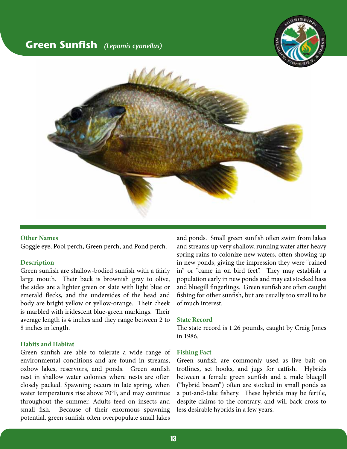### <span id="page-12-0"></span>**Green Sunfish** *(Lepomis cyanellus)*





#### **Other Names**

Goggle eye, Pool perch, Green perch, and Pond perch.

#### **Description**

Green sunfish are shallow-bodied sunfish with a fairly large mouth. Their back is brownish gray to olive, the sides are a lighter green or slate with light blue or emerald flecks, and the undersides of the head and body are bright yellow or yellow-orange. Their cheek is marbled with iridescent blue-green markings. Their average length is 4 inches and they range between 2 to 8 inches in length.

#### **Habits and Habitat**

Green sunfish are able to tolerate a wide range of environmental conditions and are found in streams, oxbow lakes, reservoirs, and ponds. Green sunfish nest in shallow water colonies where nests are often closely packed. Spawning occurs in late spring, when water temperatures rise above 70°F, and may continue throughout the summer. Adults feed on insects and small fish. Because of their enormous spawning potential, green sunfish often overpopulate small lakes

and ponds. Small green sunfish often swim from lakes and streams up very shallow, running water after heavy spring rains to colonize new waters, often showing up in new ponds, giving the impression they were "rained in" or "came in on bird feet". They may establish a population early in new ponds and may eat stocked bass and bluegill fingerlings. Green sunfish are often caught fishing for other sunfish, but are usually too small to be of much interest.

#### **State Record**

The state record is 1.26 pounds, caught by Craig Jones in 1986.

#### **Fishing Fact**

Green sunfish are commonly used as live bait on trotlines, set hooks, and jugs for catfish. Hybrids between a female green sunfish and a male bluegill ("hybrid bream") often are stocked in small ponds as a put-and-take fishery. These hybrids may be fertile, despite claims to the contrary, and will back-cross to less desirable hybrids in a few years.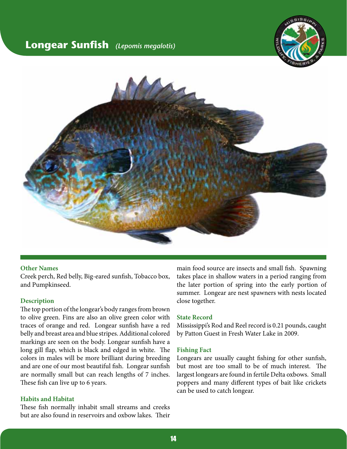### <span id="page-13-0"></span>**Longear Sunfish** *(Lepomis megalotis)*





#### **Other Names**

Creek perch, Red belly, Big-eared sunfish, Tobacco box, and Pumpkinseed.

#### **Description**

The top portion of the longear's body ranges from brown to olive green. Fins are also an olive green color with traces of orange and red. Longear sunfish have a red belly and breast area and blue stripes. Additional colored markings are seen on the body. Longear sunfish have a long gill flap, which is black and edged in white. The colors in males will be more brilliant during breeding and are one of our most beautiful fish. Longear sunfish are normally small but can reach lengths of 7 inches. These fish can live up to 6 years.

#### **Habits and Habitat**

These fish normally inhabit small streams and creeks but are also found in reservoirs and oxbow lakes. Their main food source are insects and small fish. Spawning takes place in shallow waters in a period ranging from the later portion of spring into the early portion of summer. Longear are nest spawners with nests located close together.

#### **State Record**

Mississippi's Rod and Reel record is 0.21 pounds, caught by Patton Guest in Fresh Water Lake in 2009.

#### **Fishing Fact**

Longears are usually caught fishing for other sunfish, but most are too small to be of much interest. The largest longears are found in fertile Delta oxbows. Small poppers and many different types of bait like crickets can be used to catch longear.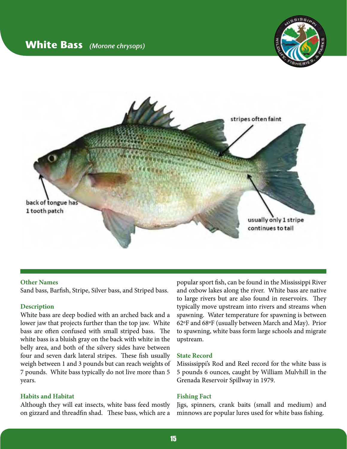

<span id="page-14-0"></span>

#### **Other Names**

Sand bass, Barfish, Stripe, Silver bass, and Striped bass.

#### **Description**

White bass are deep bodied with an arched back and a lower jaw that projects further than the top jaw. White bass are often confused with small striped bass. The white bass is a bluish gray on the back with white in the belly area, and both of the silvery sides have between four and seven dark lateral stripes. These fish usually weigh between 1 and 3 pounds but can reach weights of 7 pounds. White bass typically do not live more than 5 years.

#### **Habits and Habitat**

Although they will eat insects, white bass feed mostly on gizzard and threadfin shad. These bass, which are a

popular sport fish, can be found in the Mississippi River and oxbow lakes along the river. White bass are native to large rivers but are also found in reservoirs. They typically move upstream into rivers and streams when spawning. Water temperature for spawning is between 62ºF and 68ºF (usually between March and May). Prior to spawning, white bass form large schools and migrate upstream.

#### **State Record**

Mississippi's Rod and Reel record for the white bass is 5 pounds 6 ounces, caught by William Mulvhill in the Grenada Reservoir Spillway in 1979.

#### **Fishing Fact**

Jigs, spinners, crank baits (small and medium) and minnows are popular lures used for white bass fishing.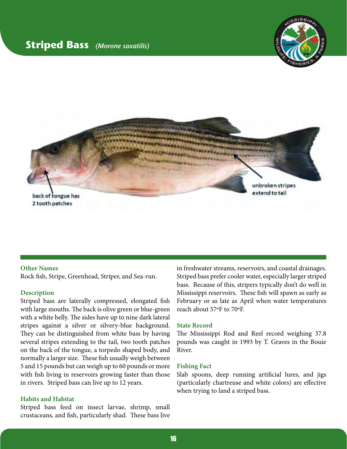### <span id="page-15-0"></span>**Striped Bass** *(Morone saxatilis)*





#### **Other Names**

Rock fish, Stripe, Greenhead, Striper, and Sea-run.

#### **Description**

Striped bass are laterally compressed, elongated fish with large mouths. The back is olive green or blue-green with a white belly. The sides have up to nine dark lateral stripes against a silver or silvery-blue background. They can be distinguished from white bass by having several stripes extending to the tail, two tooth patches on the back of the tongue, a torpedo shaped body, and normally a larger size. These fish usually weigh between 5 and 15 pounds but can weigh up to 60 pounds or more with fish living in reservoirs growing faster than those in rivers. Striped bass can live up to 12 years.

#### **Habits and Habitat**

Striped bass feed on insect larvae, shrimp, small crustaceans, and fish, particularly shad. These bass live

in freshwater streams, reservoirs, and coastal drainages. Striped bass prefer cooler water, especially larger striped bass. Because of this, stripers typically don't do well in Mississippi reservoirs. These fish will spawn as early as February or as late as April when water temperatures reach about 57ºF to 70ºF.

#### **State Record**

The Mississippi Rod and Reel record weighing 37.8 pounds was caught in 1993 by T. Graves in the Bouie River.

#### **Fishing Fact**

Slab spoons, deep running artificial lures, and jigs (particularly chartreuse and white colors) are effective when trying to land a striped bass.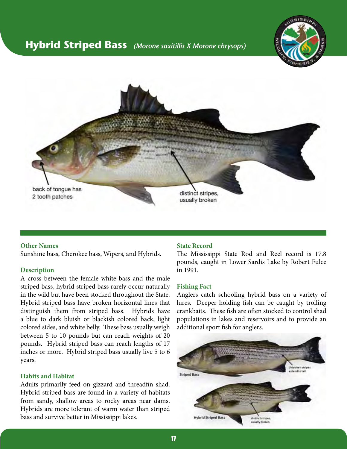### <span id="page-16-0"></span>**Hybrid Striped Bass** *(Morone saxitillis X Morone chrysops)*





#### **Other Names**

Sunshine bass, Cherokee bass, Wipers, and Hybrids.

#### **Description**

A cross between the female white bass and the male striped bass, hybrid striped bass rarely occur naturally in the wild but have been stocked throughout the State. Hybrid striped bass have broken horizontal lines that distinguish them from striped bass. Hybrids have a blue to dark bluish or blackish colored back, light colored sides, and white belly. These bass usually weigh between 5 to 10 pounds but can reach weights of 20 pounds. Hybrid striped bass can reach lengths of 17 inches or more. Hybrid striped bass usually live 5 to 6 years.

#### **Habits and Habitat**

Adults primarily feed on gizzard and threadfin shad. Hybrid striped bass are found in a variety of habitats from sandy, shallow areas to rocky areas near dams. Hybrids are more tolerant of warm water than striped bass and survive better in Mississippi lakes.

#### **State Record**

The Mississippi State Rod and Reel record is 17.8 pounds, caught in Lower Sardis Lake by Robert Fulce in 1991.

#### **Fishing Fact**

Anglers catch schooling hybrid bass on a variety of lures. Deeper holding fish can be caught by trolling crankbaits. These fish are often stocked to control shad populations in lakes and reservoirs and to provide an additional sport fish for anglers.

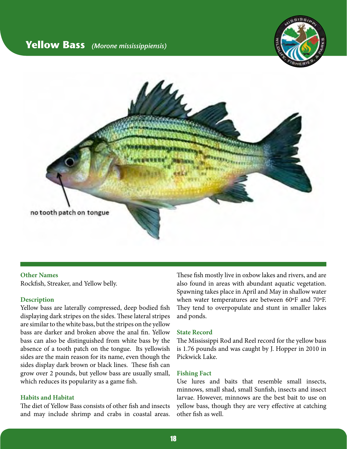### <span id="page-17-0"></span>**Yellow Bass** *(Morone mississippiensis)*





**Other Names** Rockfish, Streaker, and Yellow belly.

#### **Description**

Yellow bass are laterally compressed, deep bodied fish displaying dark stripes on the sides. These lateral stripes are similar to the white bass, but the stripes on the yellow bass are darker and broken above the anal fin. Yellow bass can also be distinguished from white bass by the absence of a tooth patch on the tongue. Its yellowish sides are the main reason for its name, even though the sides display dark brown or black lines. These fish can grow over 2 pounds, but yellow bass are usually small, which reduces its popularity as a game fish.

#### **Habits and Habitat**

The diet of Yellow Bass consists of other fish and insects and may include shrimp and crabs in coastal areas. These fish mostly live in oxbow lakes and rivers, and are also found in areas with abundant aquatic vegetation. Spawning takes place in April and May in shallow water when water temperatures are between 60ºF and 70ºF. They tend to overpopulate and stunt in smaller lakes and ponds.

#### **State Record**

The Mississippi Rod and Reel record for the yellow bass is 1.76 pounds and was caught by J. Hopper in 2010 in Pickwick Lake.

#### **Fishing Fact**

Use lures and baits that resemble small insects, minnows, small shad, small Sunfish, insects and insect larvae. However, minnows are the best bait to use on yellow bass, though they are very effective at catching other fish as well.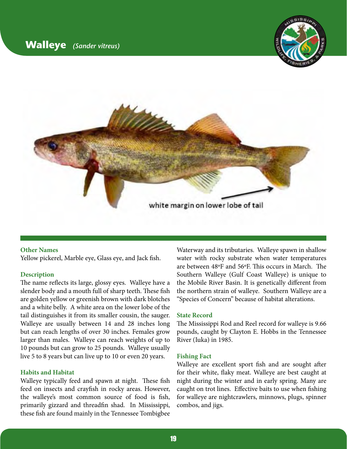

<span id="page-18-0"></span>

#### **Other Names**

Yellow pickerel, Marble eye, Glass eye, and Jack fish.

#### **Description**

The name reflects its large, glossy eyes. Walleye have a slender body and a mouth full of sharp teeth. These fish are golden yellow or greenish brown with dark blotches and a white belly. A white area on the lower lobe of the tail distinguishes it from its smaller cousin, the sauger. Walleye are usually between 14 and 28 inches long but can reach lengths of over 30 inches. Females grow larger than males. Walleye can reach weights of up to 10 pounds but can grow to 25 pounds. Walleye usually live 5 to 8 years but can live up to 10 or even 20 years.

#### **Habits and Habitat**

Walleye typically feed and spawn at night. These fish feed on insects and crayfish in rocky areas. However, the walleye's most common source of food is fish, primarily gizzard and threadfin shad. In Mississippi, these fish are found mainly in the Tennessee Tombigbee

Waterway and its tributaries. Walleye spawn in shallow water with rocky substrate when water temperatures are between 48ºF and 56ºF. This occurs in March. The Southern Walleye (Gulf Coast Walleye) is unique to the Mobile River Basin. It is genetically different from the northern strain of walleye. Southern Walleye are a "Species of Concern" because of habitat alterations.

#### **State Record**

The Mississippi Rod and Reel record for walleye is 9.66 pounds, caught by Clayton E. Hobbs in the Tennessee River (Iuka) in 1985.

#### **Fishing Fact**

Walleye are excellent sport fish and are sought after for their white, flaky meat. Walleye are best caught at night during the winter and in early spring. Many are caught on trot lines. Effective baits to use when fishing for walleye are nightcrawlers, minnows, plugs, spinner combos, and jigs.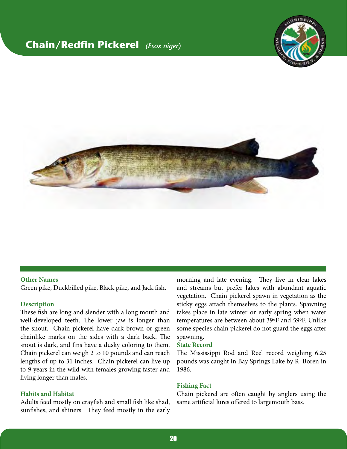### <span id="page-19-0"></span>**Chain/Redfin Pickerel** *(Esox niger)*





#### **Other Names**

Green pike, Duckbilled pike, Black pike, and Jack fish.

#### **Description**

These fish are long and slender with a long mouth and well-developed teeth. The lower jaw is longer than the snout. Chain pickerel have dark brown or green chainlike marks on the sides with a dark back. The snout is dark, and fins have a dusky coloring to them. Chain pickerel can weigh 2 to 10 pounds and can reach lengths of up to 31 inches. Chain pickerel can live up to 9 years in the wild with females growing faster and living longer than males.

#### **Habits and Habitat**

Adults feed mostly on crayfish and small fish like shad, sunfishes, and shiners. They feed mostly in the early

morning and late evening. They live in clear lakes and streams but prefer lakes with abundant aquatic vegetation. Chain pickerel spawn in vegetation as the sticky eggs attach themselves to the plants. Spawning takes place in late winter or early spring when water temperatures are between about 39ºF and 59ºF. Unlike some species chain pickerel do not guard the eggs after spawning.

#### **State Record**

The Mississippi Rod and Reel record weighing 6.25 pounds was caught in Bay Springs Lake by R. Boren in 1986.

#### **Fishing Fact**

Chain pickerel are often caught by anglers using the same artificial lures offered to largemouth bass.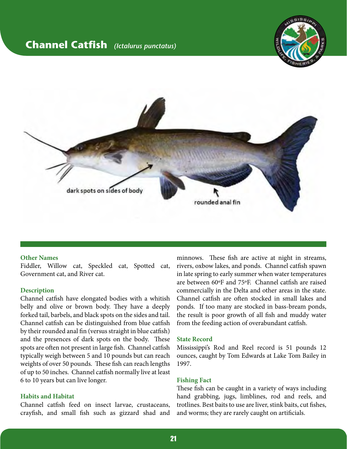### <span id="page-20-0"></span>**Channel Catfish** *(Ictalurus punctatus)*





#### **Other Names**

Fiddler, Willow cat, Speckled cat, Spotted cat, Government cat, and River cat.

#### **Description**

Channel catfish have elongated bodies with a whitish belly and olive or brown body. They have a deeply forked tail, barbels, and black spots on the sides and tail. Channel catfish can be distinguished from blue catfish by their rounded anal fin (versus straight in blue catfish) and the presences of dark spots on the body. These spots are often not present in large fish. Channel catfish typically weigh between 5 and 10 pounds but can reach weights of over 50 pounds. These fish can reach lengths of up to 50 inches. Channel catfish normally live at least 6 to 10 years but can live longer.

#### **Habits and Habitat**

Channel catfish feed on insect larvae, crustaceans, crayfish, and small fish such as gizzard shad and

minnows. These fish are active at night in streams, rivers, oxbow lakes, and ponds. Channel catfish spawn in late spring to early summer when water temperatures are between 60ºF and 75ºF. Channel catfish are raised commercially in the Delta and other areas in the state. Channel catfish are often stocked in small lakes and ponds. If too many are stocked in bass-bream ponds, the result is poor growth of all fish and muddy water from the feeding action of overabundant catfish.

#### **State Record**

Mississippi's Rod and Reel record is 51 pounds 12 ounces, caught by Tom Edwards at Lake Tom Bailey in 1997.

#### **Fishing Fact**

These fish can be caught in a variety of ways including hand grabbing, jugs, limblines, rod and reels, and trotlines. Best baits to use are liver, stink baits, cut fishes, and worms; they are rarely caught on artificials.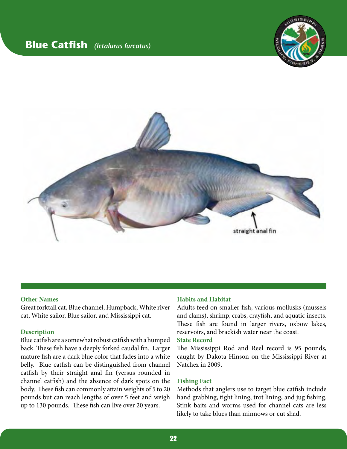### <span id="page-21-0"></span>**Blue Catfish** *(Ictalurus furcatus)*





#### **Other Names**

Great forktail cat, Blue channel, Humpback, White river cat, White sailor, Blue sailor, and Mississippi cat.

#### **Description**

Blue catfish are a somewhat robust catfish with a humped back. These fish have a deeply forked caudal fin. Larger mature fish are a dark blue color that fades into a white belly. Blue catfish can be distinguished from channel catfish by their straight anal fin (versus rounded in channel catfish) and the absence of dark spots on the body. These fish can commonly attain weights of 5 to 20 pounds but can reach lengths of over 5 feet and weigh up to 130 pounds. These fish can live over 20 years.

#### **Habits and Habitat**

Adults feed on smaller fish, various mollusks (mussels and clams), shrimp, crabs, crayfish, and aquatic insects. These fish are found in larger rivers, oxbow lakes, reservoirs, and brackish water near the coast.

#### **State Record**

The Mississippi Rod and Reel record is 95 pounds, caught by Dakota Hinson on the Mississippi River at Natchez in 2009.

#### **Fishing Fact**

Methods that anglers use to target blue catfish include hand grabbing, tight lining, trot lining, and jug fishing. Stink baits and worms used for channel cats are less likely to take blues than minnows or cut shad.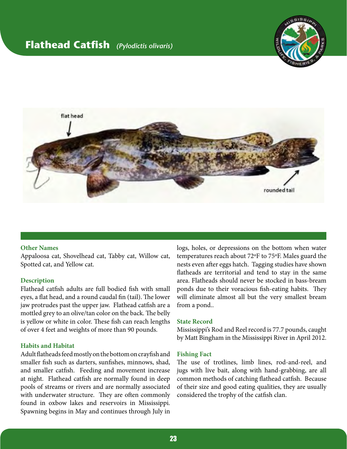### <span id="page-22-0"></span>**Flathead Catfish** *(Pylodictis olivaris)*





#### **Other Names**

Appaloosa cat, Shovelhead cat, Tabby cat, Willow cat, Spotted cat, and Yellow cat.

#### **Description**

Flathead catfish adults are full bodied fish with small eyes, a flat head, and a round caudal fin (tail). The lower jaw protrudes past the upper jaw. Flathead catfish are a mottled grey to an olive/tan color on the back. The belly is yellow or white in color. These fish can reach lengths of over 4 feet and weights of more than 90 pounds.

#### **Habits and Habitat**

Adult flatheads feed mostly on the bottom on crayfish and smaller fish such as darters, sunfishes, minnows, shad, and smaller catfish. Feeding and movement increase at night. Flathead catfish are normally found in deep pools of streams or rivers and are normally associated with underwater structure. They are often commonly found in oxbow lakes and reservoirs in Mississippi. Spawning begins in May and continues through July in

logs, holes, or depressions on the bottom when water temperatures reach about 72ºF to 75ºF. Males guard the nests even after eggs hatch. Tagging studies have shown flatheads are territorial and tend to stay in the same area. Flatheads should never be stocked in bass-bream ponds due to their voracious fish-eating habits. They will eliminate almost all but the very smallest bream from a pond..

#### **State Record**

Mississippi's Rod and Reel record is 77.7 pounds, caught by Matt Bingham in the Mississippi River in April 2012.

#### **Fishing Fact**

The use of trotlines, limb lines, rod-and-reel, and jugs with live bait, along with hand-grabbing, are all common methods of catching flathead catfish. Because of their size and good eating qualities, they are usually considered the trophy of the catfish clan.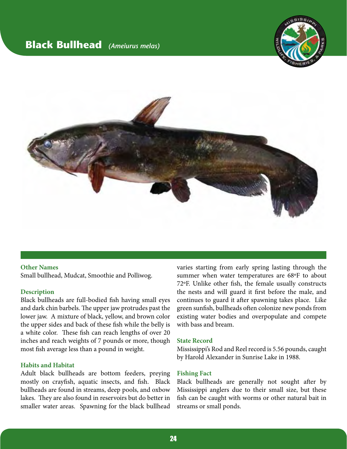### <span id="page-23-0"></span>**Black Bullhead** *(Ameiurus melas)*





#### **Other Names** Small bullhead, Mudcat, Smoothie and Polliwog.

#### **Description**

Black bullheads are full-bodied fish having small eyes and dark chin barbels. The upper jaw protrudes past the lower jaw. A mixture of black, yellow, and brown color the upper sides and back of these fish while the belly is a white color. These fish can reach lengths of over 20 inches and reach weights of 7 pounds or more, though most fish average less than a pound in weight.

#### **Habits and Habitat**

Adult black bullheads are bottom feeders, preying mostly on crayfish, aquatic insects, and fish. Black bullheads are found in streams, deep pools, and oxbow lakes. They are also found in reservoirs but do better in smaller water areas. Spawning for the black bullhead

varies starting from early spring lasting through the summer when water temperatures are 68ºF to about 72ºF. Unlike other fish, the female usually constructs the nests and will guard it first before the male, and continues to guard it after spawning takes place. Like green sunfish, bullheads often colonize new ponds from existing water bodies and overpopulate and compete with bass and bream.

#### **State Record**

Mississippi's Rod and Reel record is 5.56 pounds, caught by Harold Alexander in Sunrise Lake in 1988.

#### **Fishing Fact**

Black bullheads are generally not sought after by Mississippi anglers due to their small size, but these fish can be caught with worms or other natural bait in streams or small ponds.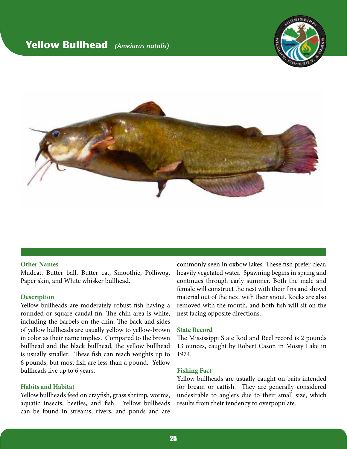### <span id="page-24-0"></span>**Yellow Bullhead** *(Ameiurus natalis)*





#### **Other Names**

Mudcat, Butter ball, Butter cat, Smoothie, Polliwog, Paper skin, and White whisker bullhead.

#### **Description**

Yellow bullheads are moderately robust fish having a rounded or square caudal fin. The chin area is white, including the barbels on the chin. The back and sides of yellow bullheads are usually yellow to yellow-brown in color as their name implies. Compared to the brown bullhead and the black bullhead, the yellow bullhead is usually smaller. These fish can reach weights up to 6 pounds, but most fish are less than a pound. Yellow bullheads live up to 6 years.

#### **Habits and Habitat**

Yellow bullheads feed on crayfish, grass shrimp, worms, aquatic insects, beetles, and fish. Yellow bullheads can be found in streams, rivers, and ponds and are

commonly seen in oxbow lakes. These fish prefer clear, heavily vegetated water. Spawning begins in spring and continues through early summer. Both the male and female will construct the nest with their fins and shovel material out of the next with their snout. Rocks are also removed with the mouth, and both fish will sit on the nest facing opposite directions.

#### **State Record**

The Mississippi State Rod and Reel record is 2 pounds 13 ounces, caught by Robert Cason in Mossy Lake in 1974.

#### **Fishing Fact**

Yellow bullheads are usually caught on baits intended for bream or catfish. They are generally considered undesirable to anglers due to their small size, which results from their tendency to overpopulate.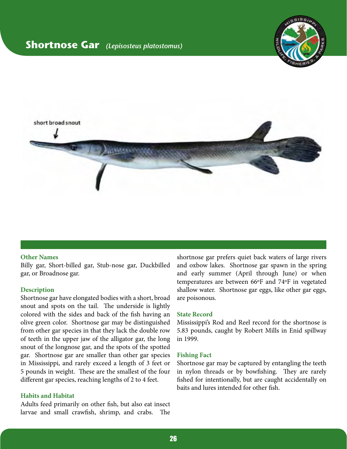### <span id="page-25-0"></span>**Shortnose Gar** *(Lepisosteus platostomus)*





#### **Other Names**

Billy gar, Short-billed gar, Stub-nose gar, Duckbilled gar, or Broadnose gar.

#### **Description**

Shortnose gar have elongated bodies with a short, broad snout and spots on the tail. The underside is lightly colored with the sides and back of the fish having an olive green color. Shortnose gar may be distinguished from other gar species in that they lack the double row of teeth in the upper jaw of the alligator gar, the long snout of the longnose gar, and the spots of the spotted gar. Shortnose gar are smaller than other gar species in Mississippi, and rarely exceed a length of 3 feet or 5 pounds in weight. These are the smallest of the four different gar species, reaching lengths of 2 to 4 feet.

#### **Habits and Habitat**

Adults feed primarily on other fish, but also eat insect larvae and small crawfish, shrimp, and crabs. The

shortnose gar prefers quiet back waters of large rivers and oxbow lakes. Shortnose gar spawn in the spring and early summer (April through June) or when temperatures are between 66ºF and 74ºF in vegetated shallow water. Shortnose gar eggs, like other gar eggs, are poisonous.

#### **State Record**

Mississippi's Rod and Reel record for the shortnose is 5.83 pounds, caught by Robert Mills in Enid spillway in 1999.

#### **Fishing Fact**

Shortnose gar may be captured by entangling the teeth in nylon threads or by bowfishing. They are rarely fished for intentionally, but are caught accidentally on baits and lures intended for other fish.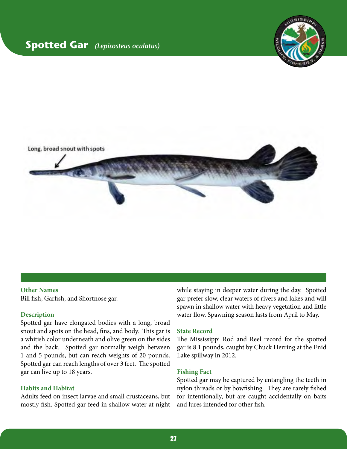### <span id="page-26-0"></span>**Spotted Gar** *(Lepisosteus oculatus)*





#### **Other Names**

Bill fish, Garfish, and Shortnose gar.

#### **Description**

Spotted gar have elongated bodies with a long, broad snout and spots on the head, fins, and body. This gar is a whitish color underneath and olive green on the sides and the back. Spotted gar normally weigh between 1 and 5 pounds, but can reach weights of 20 pounds. Spotted gar can reach lengths of over 3 feet. The spotted gar can live up to 18 years.

#### **Habits and Habitat**

Adults feed on insect larvae and small crustaceans, but mostly fish. Spotted gar feed in shallow water at night

while staying in deeper water during the day. Spotted gar prefer slow, clear waters of rivers and lakes and will spawn in shallow water with heavy vegetation and little water flow. Spawning season lasts from April to May.

#### **State Record**

The Mississippi Rod and Reel record for the spotted gar is 8.1 pounds, caught by Chuck Herring at the Enid Lake spillway in 2012.

#### **Fishing Fact**

Spotted gar may be captured by entangling the teeth in nylon threads or by bowfishing. They are rarely fished for intentionally, but are caught accidentally on baits and lures intended for other fish.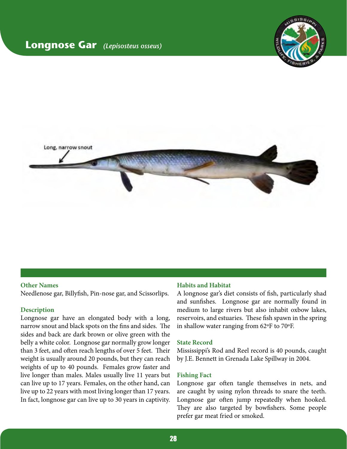### <span id="page-27-0"></span>**Longnose Gar** *(Lepisosteus osseus)*





#### **Other Names**

Needlenose gar, Billyfish, Pin-nose gar, and Scissorlips.

#### **Description**

Longnose gar have an elongated body with a long, narrow snout and black spots on the fins and sides. The sides and back are dark brown or olive green with the belly a white color. Longnose gar normally grow longer than 3 feet, and often reach lengths of over 5 feet. Their weight is usually around 20 pounds, but they can reach weights of up to 40 pounds. Females grow faster and live longer than males. Males usually live 11 years but can live up to 17 years. Females, on the other hand, can live up to 22 years with most living longer than 17 years. In fact, longnose gar can live up to 30 years in captivity.

#### **Habits and Habitat**

A longnose gar's diet consists of fish, particularly shad and sunfishes. Longnose gar are normally found in medium to large rivers but also inhabit oxbow lakes, reservoirs, and estuaries. These fish spawn in the spring in shallow water ranging from 62ºF to 70ºF.

#### **State Record**

Mississippi's Rod and Reel record is 40 pounds, caught by J.E. Bennett in Grenada Lake Spillway in 2004.

#### **Fishing Fact**

Longnose gar often tangle themselves in nets, and are caught by using nylon threads to snare the teeth. Longnose gar often jump repeatedly when hooked. They are also targeted by bowfishers. Some people prefer gar meat fried or smoked.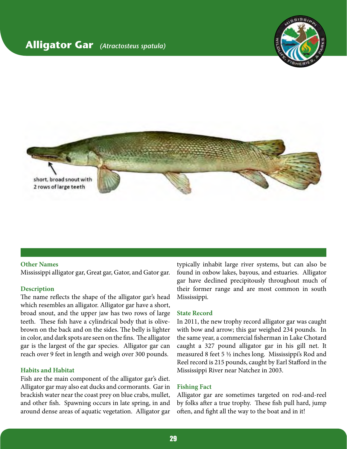### <span id="page-28-0"></span>**Alligator Gar** *(Atractosteus spatula)*





#### **Other Names**

Mississippi alligator gar, Great gar, Gator, and Gator gar.

#### **Description**

The name reflects the shape of the alligator gar's head which resembles an alligator. Alligator gar have a short, broad snout, and the upper jaw has two rows of large teeth. These fish have a cylindrical body that is olivebrown on the back and on the sides. The belly is lighter in color, and dark spots are seen on the fins. The alligator gar is the largest of the gar species. Alligator gar can reach over 9 feet in length and weigh over 300 pounds.

#### **Habits and Habitat**

Fish are the main component of the alligator gar's diet. Alligator gar may also eat ducks and cormorants. Gar in brackish water near the coast prey on blue crabs, mullet, and other fish. Spawning occurs in late spring, in and around dense areas of aquatic vegetation. Alligator gar typically inhabit large river systems, but can also be found in oxbow lakes, bayous, and estuaries. Alligator gar have declined precipitously throughout much of their former range and are most common in south Mississippi.

#### **State Record**

In 2011, the new trophy record alligator gar was caught with bow and arrow; this gar weighed 234 pounds. In the same year, a commercial fisherman in Lake Chotard caught a 327 pound alligator gar in his gill net. It measured 8 feet 5 ½ inches long. Mississippi's Rod and Reel record is 215 pounds, caught by Earl Stafford in the Mississippi River near Natchez in 2003.

#### **Fishing Fact**

Alligator gar are sometimes targeted on rod-and-reel by folks after a true trophy. These fish pull hard, jump often, and fight all the way to the boat and in it!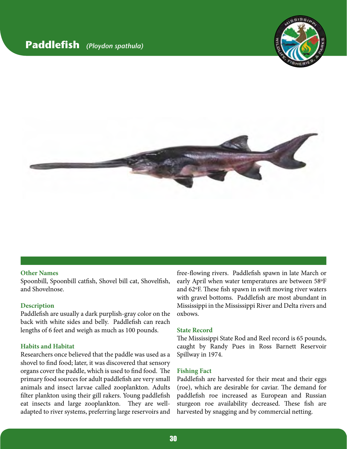### <span id="page-29-0"></span>**Paddlefish** *(Ploydon spathula)*





#### **Other Names**

Spoonbill, Spoonbill catfish, Shovel bill cat, Shovelfish, and Shovelnose.

#### **Description**

Paddlefish are usually a dark purplish-gray color on the back with white sides and belly. Paddlefish can reach lengths of 6 feet and weigh as much as 100 pounds.

#### **Habits and Habitat**

Researchers once believed that the paddle was used as a shovel to find food; later, it was discovered that sensory organs cover the paddle, which is used to find food. The primary food sources for adult paddlefish are very small animals and insect larvae called zooplankton. Adults filter plankton using their gill rakers. Young paddlefish eat insects and large zooplankton. They are welladapted to river systems, preferring large reservoirs and free-flowing rivers. Paddlefish spawn in late March or early April when water temperatures are between 58ºF and 62ºF. These fish spawn in swift moving river waters with gravel bottoms. Paddlefish are most abundant in Mississippi in the Mississippi River and Delta rivers and oxbows.

#### **State Record**

The Mississippi State Rod and Reel record is 65 pounds, caught by Randy Pues in Ross Barnett Reservoir Spillway in 1974.

#### **Fishing Fact**

Paddlefish are harvested for their meat and their eggs (roe), which are desirable for caviar. The demand for paddlefish roe increased as European and Russian sturgeon roe availability decreased. These fish are harvested by snagging and by commercial netting.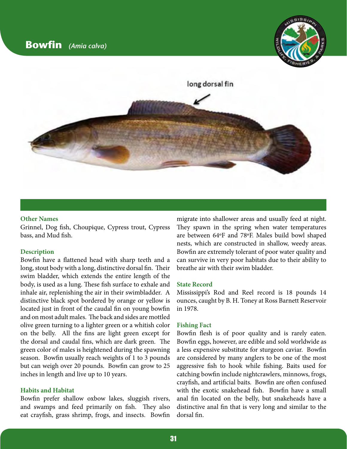

<span id="page-30-0"></span>

#### **Other Names**

Grinnel, Dog fish, Choupique, Cypress trout, Cypress bass, and Mud fish.

#### **Description**

Bowfin have a flattened head with sharp teeth and a long, stout body with a long, distinctive dorsal fin. Their swim bladder, which extends the entire length of the body, is used as a lung. These fish surface to exhale and inhale air, replenishing the air in their swimbladder. A distinctive black spot bordered by orange or yellow is located just in front of the caudal fin on young bowfin and on most adult males. The back and sides are mottled olive green turning to a lighter green or a whitish color on the belly. All the fins are light green except for the dorsal and caudal fins, which are dark green. The green color of males is heightened during the spawning season. Bowfin usually reach weights of 1 to 3 pounds but can weigh over 20 pounds. Bowfin can grow to 25 inches in length and live up to 10 years.

#### **Habits and Habitat**

Bowfin prefer shallow oxbow lakes, sluggish rivers, and swamps and feed primarily on fish. They also eat crayfish, grass shrimp, frogs, and insects. Bowfin

migrate into shallower areas and usually feed at night. They spawn in the spring when water temperatures are between 64ºF and 78ºF. Males build bowl shaped nests, which are constructed in shallow, weedy areas. Bowfin are extremely tolerant of poor water quality and can survive in very poor habitats due to their ability to breathe air with their swim bladder.

#### **State Record**

Mississippi's Rod and Reel record is 18 pounds 14 ounces, caught by B. H. Toney at Ross Barnett Reservoir in 1978.

#### **Fishing Fact**

Bowfin flesh is of poor quality and is rarely eaten. Bowfin eggs, however, are edible and sold worldwide as a less expensive substitute for sturgeon caviar. Bowfin are considered by many anglers to be one of the most aggressive fish to hook while fishing. Baits used for catching bowfin include nightcrawlers, minnows, frogs, crayfish, and artificial baits. Bowfin are often confused with the exotic snakehead fish. Bowfin have a small anal fin located on the belly, but snakeheads have a distinctive anal fin that is very long and similar to the dorsal fin.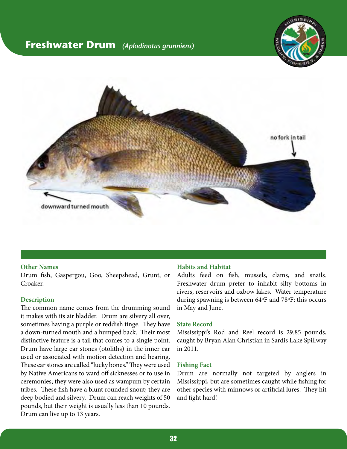### <span id="page-31-0"></span>**Freshwater Drum** *(Aplodinotus grunniens)*





#### **Other Names**

Drum fish, Gaspergou, Goo, Sheepshead, Grunt, or Croaker.

#### **Description**

The common name comes from the drumming sound it makes with its air bladder. Drum are silvery all over, sometimes having a purple or reddish tinge. They have a down-turned mouth and a humped back. Their most distinctive feature is a tail that comes to a single point. Drum have large ear stones (otoliths) in the inner ear used or associated with motion detection and hearing. These ear stones are called "lucky bones." They were used by Native Americans to ward off sicknesses or to use in ceremonies; they were also used as wampum by certain tribes. These fish have a blunt rounded snout; they are deep bodied and silvery. Drum can reach weights of 50 pounds, but their weight is usually less than 10 pounds. Drum can live up to 13 years.

#### **Habits and Habitat**

Adults feed on fish, mussels, clams, and snails. Freshwater drum prefer to inhabit silty bottoms in rivers, reservoirs and oxbow lakes. Water temperature during spawning is between 64ºF and 78ºF; this occurs in May and June.

#### **State Record**

Mississippi's Rod and Reel record is 29.85 pounds, caught by Bryan Alan Christian in Sardis Lake Spillway in 2011.

#### **Fishing Fact**

Drum are normally not targeted by anglers in Mississippi, but are sometimes caught while fishing for other species with minnows or artificial lures. They hit and fight hard!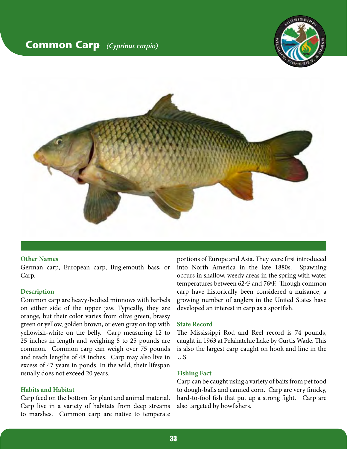### <span id="page-32-0"></span>**Common Carp** *(Cyprinus carpio)*





#### **Other Names**

German carp, European carp, Buglemouth bass, or Carp.

#### **Description**

Common carp are heavy-bodied minnows with barbels on either side of the upper jaw. Typically, they are orange, but their color varies from olive green, brassy green or yellow, golden brown, or even gray on top with yellowish-white on the belly. Carp measuring 12 to 25 inches in length and weighing 5 to 25 pounds are common. Common carp can weigh over 75 pounds and reach lengths of 48 inches. Carp may also live in excess of 47 years in ponds. In the wild, their lifespan usually does not exceed 20 years.

#### **Habits and Habitat**

Carp feed on the bottom for plant and animal material. Carp live in a variety of habitats from deep streams to marshes. Common carp are native to temperate

portions of Europe and Asia. They were first introduced into North America in the late 1880s. Spawning occurs in shallow, weedy areas in the spring with water temperatures between 62ºF and 76ºF. Though common carp have historically been considered a nuisance, a growing number of anglers in the United States have developed an interest in carp as a sportfish.

#### **State Record**

The Mississippi Rod and Reel record is 74 pounds, caught in 1963 at Pelahatchie Lake by Curtis Wade. This is also the largest carp caught on hook and line in the U.S.

#### **Fishing Fact**

Carp can be caught using a variety of baits from pet food to dough-balls and canned corn. Carp are very finicky, hard-to-fool fish that put up a strong fight. Carp are also targeted by bowfishers.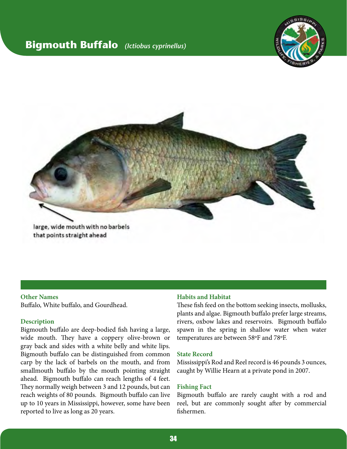### <span id="page-33-0"></span>**Bigmouth Buffalo** *(Ictiobus cyprinellus)*





#### **Other Names**

Buffalo, White buffalo, and Gourdhead.

#### **Description**

Bigmouth buffalo are deep-bodied fish having a large, wide mouth. They have a coppery olive-brown or gray back and sides with a white belly and white lips. Bigmouth buffalo can be distinguished from common carp by the lack of barbels on the mouth, and from smallmouth buffalo by the mouth pointing straight ahead. Bigmouth buffalo can reach lengths of 4 feet. They normally weigh between 3 and 12 pounds, but can reach weights of 80 pounds. Bigmouth buffalo can live up to 10 years in Mississippi, however, some have been reported to live as long as 20 years.

#### **Habits and Habitat**

These fish feed on the bottom seeking insects, mollusks, plants and algae. Bigmouth buffalo prefer large streams, rivers, oxbow lakes and reservoirs. Bigmouth buffalo spawn in the spring in shallow water when water temperatures are between 58ºF and 78ºF.

#### **State Record**

Mississippi's Rod and Reel record is 46 pounds 3 ounces, caught by Willie Hearn at a private pond in 2007.

#### **Fishing Fact**

Bigmouth buffalo are rarely caught with a rod and reel, but are commonly sought after by commercial fishermen.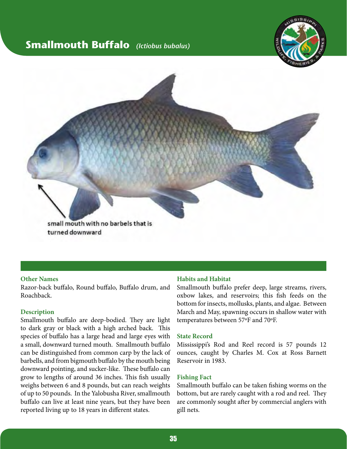### <span id="page-34-0"></span>**Smallmouth Buffalo** *(Ictiobus bubalus)*





#### **Other Names**

Razor-back buffalo, Round buffalo, Buffalo drum, and Roachback.

#### **Description**

Smallmouth buffalo are deep-bodied. They are light to dark gray or black with a high arched back. This species of buffalo has a large head and large eyes with a small, downward turned mouth. Smallmouth buffalo can be distinguished from common carp by the lack of barbells, and from bigmouth buffalo by the mouth being downward pointing, and sucker-like. These buffalo can grow to lengths of around 36 inches. This fish usually weighs between 6 and 8 pounds, but can reach weights of up to 50 pounds. In the Yalobusha River, smallmouth buffalo can live at least nine years, but they have been reported living up to 18 years in different states.

#### **Habits and Habitat**

Smallmouth buffalo prefer deep, large streams, rivers, oxbow lakes, and reservoirs; this fish feeds on the bottom for insects, mollusks, plants, and algae. Between March and May, spawning occurs in shallow water with temperatures between 57ºF and 70ºF.

#### **State Record**

Mississippi's Rod and Reel record is 57 pounds 12 ounces, caught by Charles M. Cox at Ross Barnett Reservoir in 1983.

#### **Fishing Fact**

Smallmouth buffalo can be taken fishing worms on the bottom, but are rarely caught with a rod and reel. They are commonly sought after by commercial anglers with gill nets.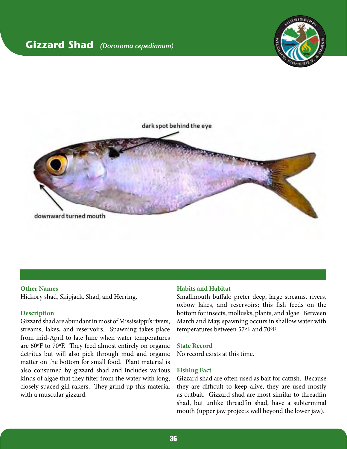### <span id="page-35-0"></span>**Gizzard Shad** *(Dorosoma cepedianum)*





#### **Other Names**

Hickory shad, Skipjack, Shad, and Herring.

#### **Description**

Gizzard shad are abundant in most of Mississippi's rivers, streams, lakes, and reservoirs. Spawning takes place from mid-April to late June when water temperatures are 60ºF to 70ºF. They feed almost entirely on organic detritus but will also pick through mud and organic matter on the bottom for small food. Plant material is also consumed by gizzard shad and includes various kinds of algae that they filter from the water with long, closely spaced gill rakers. They grind up this material with a muscular gizzard.

#### **Habits and Habitat**

Smallmouth buffalo prefer deep, large streams, rivers, oxbow lakes, and reservoirs; this fish feeds on the bottom for insects, mollusks, plants, and algae. Between March and May, spawning occurs in shallow water with temperatures between 57ºF and 70ºF.

#### **State Record**

No record exists at this time.

#### **Fishing Fact**

Gizzard shad are often used as bait for catfish. Because they are difficult to keep alive, they are used mostly as cutbait. Gizzard shad are most similar to threadfin shad, but unlike threadfin shad, have a subterminal mouth (upper jaw projects well beyond the lower jaw).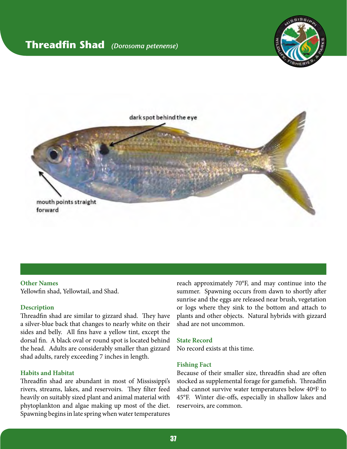### <span id="page-36-0"></span>**Threadfin Shad** *(Dorosoma petenense)*





#### **Other Names**

Yellowfin shad, Yellowtail, and Shad.

#### **Description**

Threadfin shad are similar to gizzard shad. They have a silver-blue back that changes to nearly white on their sides and belly. All fins have a yellow tint, except the dorsal fin. A black oval or round spot is located behind the head. Adults are considerably smaller than gizzard shad adults, rarely exceeding 7 inches in length.

#### **Habits and Habitat**

Threadfin shad are abundant in most of Mississippi's rivers, streams, lakes, and reservoirs. They filter feed heavily on suitably sized plant and animal material with phytoplankton and algae making up most of the diet. Spawning begins in late spring when water temperatures

reach approximately 70°F, and may continue into the summer. Spawning occurs from dawn to shortly after sunrise and the eggs are released near brush, vegetation or logs where they sink to the bottom and attach to plants and other objects. Natural hybrids with gizzard shad are not uncommon.

#### **State Record**

No record exists at this time.

#### **Fishing Fact**

Because of their smaller size, threadfin shad are often stocked as supplemental forage for gamefish. Threadfin shad cannot survive water temperatures below 40ºF to 45°F. Winter die-offs, especially in shallow lakes and reservoirs, are common.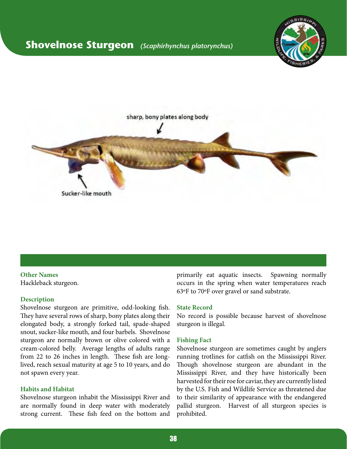### <span id="page-37-0"></span>**Shovelnose Sturgeon** *(Scaphirhynchus platorynchus)*





**Other Names** Hackleback sturgeon.

#### **Description**

Shovelnose sturgeon are primitive, odd-looking fish. They have several rows of sharp, bony plates along their elongated body, a strongly forked tail, spade-shaped snout, sucker-like mouth, and four barbels. Shovelnose sturgeon are normally brown or olive colored with a cream-colored belly. Average lengths of adults range from 22 to 26 inches in length. These fish are longlived, reach sexual maturity at age 5 to 10 years, and do not spawn every year.

#### **Habits and Habitat**

Shovelnose sturgeon inhabit the Mississippi River and are normally found in deep water with moderately strong current. These fish feed on the bottom and primarily eat aquatic insects. Spawning normally occurs in the spring when water temperatures reach 63ºF to 70ºF over gravel or sand substrate.

#### **State Record**

No record is possible because harvest of shovelnose sturgeon is illegal.

#### **Fishing Fact**

Shovelnose sturgeon are sometimes caught by anglers running trotlines for catfish on the Mississippi River. Though shovelnose sturgeon are abundant in the Mississippi River, and they have historically been harvested for their roe for caviar, they are currently listed by the U.S. Fish and Wildlife Service as threatened due to their similarity of appearance with the endangered pallid sturgeon. Harvest of all sturgeon species is prohibited.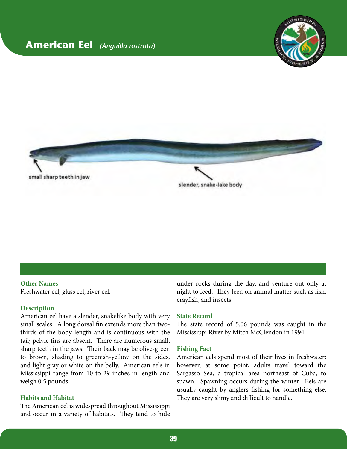### <span id="page-38-0"></span>**American Eel** *(Anguilla rostrata)*





#### **Other Names**

Freshwater eel, glass eel, river eel.

#### **Description**

American eel have a slender, snakelike body with very small scales. A long dorsal fin extends more than twothirds of the body length and is continuous with the tail; pelvic fins are absent. There are numerous small, sharp teeth in the jaws. Their back may be olive-green to brown, shading to greenish-yellow on the sides, and light gray or white on the belly. American eels in Mississippi range from 10 to 29 inches in length and weigh 0.5 pounds.

#### **Habits and Habitat**

The American eel is widespread throughout Mississippi and occur in a variety of habitats. They tend to hide

under rocks during the day, and venture out only at night to feed. They feed on animal matter such as fish, crayfish, and insects.

#### **State Record**

The state record of 5.06 pounds was caught in the Mississippi River by Mitch McClendon in 1994.

#### **Fishing Fact**

American eels spend most of their lives in freshwater; however, at some point, adults travel toward the Sargasso Sea, a tropical area northeast of Cuba, to spawn. Spawning occurs during the winter. Eels are usually caught by anglers fishing for something else. They are very slimy and difficult to handle.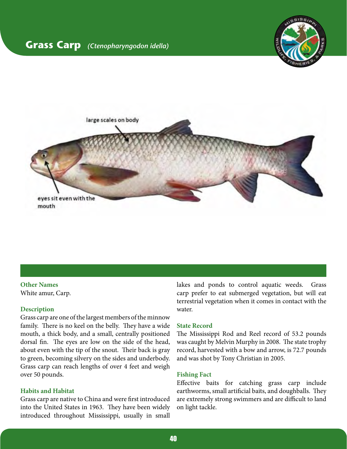### <span id="page-39-0"></span>**Grass Carp** *(Ctenopharyngodon idella)*





#### **Other Names** White amur, Carp.

#### **Description**

Grass carp are one of the largest members of the minnow family. There is no keel on the belly. They have a wide mouth, a thick body, and a small, centrally positioned dorsal fin. The eyes are low on the side of the head, about even with the tip of the snout. Their back is gray to green, becoming silvery on the sides and underbody. Grass carp can reach lengths of over 4 feet and weigh over 50 pounds.

#### **Habits and Habitat**

Grass carp are native to China and were first introduced into the United States in 1963. They have been widely introduced throughout Mississippi, usually in small

lakes and ponds to control aquatic weeds. Grass carp prefer to eat submerged vegetation, but will eat terrestrial vegetation when it comes in contact with the water.

#### **State Record**

The Mississippi Rod and Reel record of 53.2 pounds was caught by Melvin Murphy in 2008. The state trophy record, harvested with a bow and arrow, is 72.7 pounds and was shot by Tony Christian in 2005.

#### **Fishing Fact**

Effective baits for catching grass carp include earthworms, small artificial baits, and doughballs. They are extremely strong swimmers and are difficult to land on light tackle.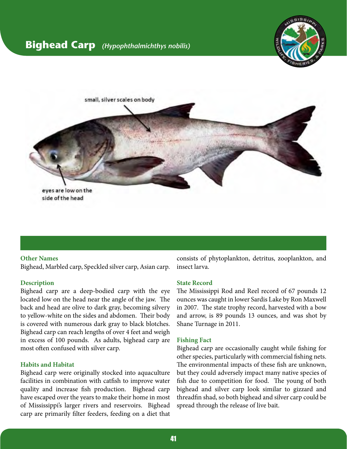### <span id="page-40-0"></span>**Bighead Carp** *(Hypophthalmichthys nobilis)*





#### **Other Names**

Bighead, Marbled carp, Speckled silver carp, Asian carp.

#### **Description**

Bighead carp are a deep-bodied carp with the eye located low on the head near the angle of the jaw. The back and head are olive to dark gray, becoming silvery to yellow-white on the sides and abdomen. Their body is covered with numerous dark gray to black blotches. Bighead carp can reach lengths of over 4 feet and weigh in excess of 100 pounds. As adults, bighead carp are most often confused with silver carp.

#### **Habits and Habitat**

Bighead carp were originally stocked into aquaculture facilities in combination with catfish to improve water quality and increase fish production. Bighead carp have escaped over the years to make their home in most of Mississippi's larger rivers and reservoirs. Bighead carp are primarily filter feeders, feeding on a diet that

consists of phytoplankton, detritus, zooplankton, and insect larva.

#### **State Record**

The Mississippi Rod and Reel record of 67 pounds 12 ounces was caught in lower Sardis Lake by Ron Maxwell in 2007. The state trophy record, harvested with a bow and arrow, is 89 pounds 13 ounces, and was shot by Shane Turnage in 2011.

#### **Fishing Fact**

Bighead carp are occasionally caught while fishing for other species, particularly with commercial fishing nets. The environmental impacts of these fish are unknown, but they could adversely impact many native species of fish due to competition for food. The young of both bighead and silver carp look similar to gizzard and threadfin shad, so both bighead and silver carp could be spread through the release of live bait.